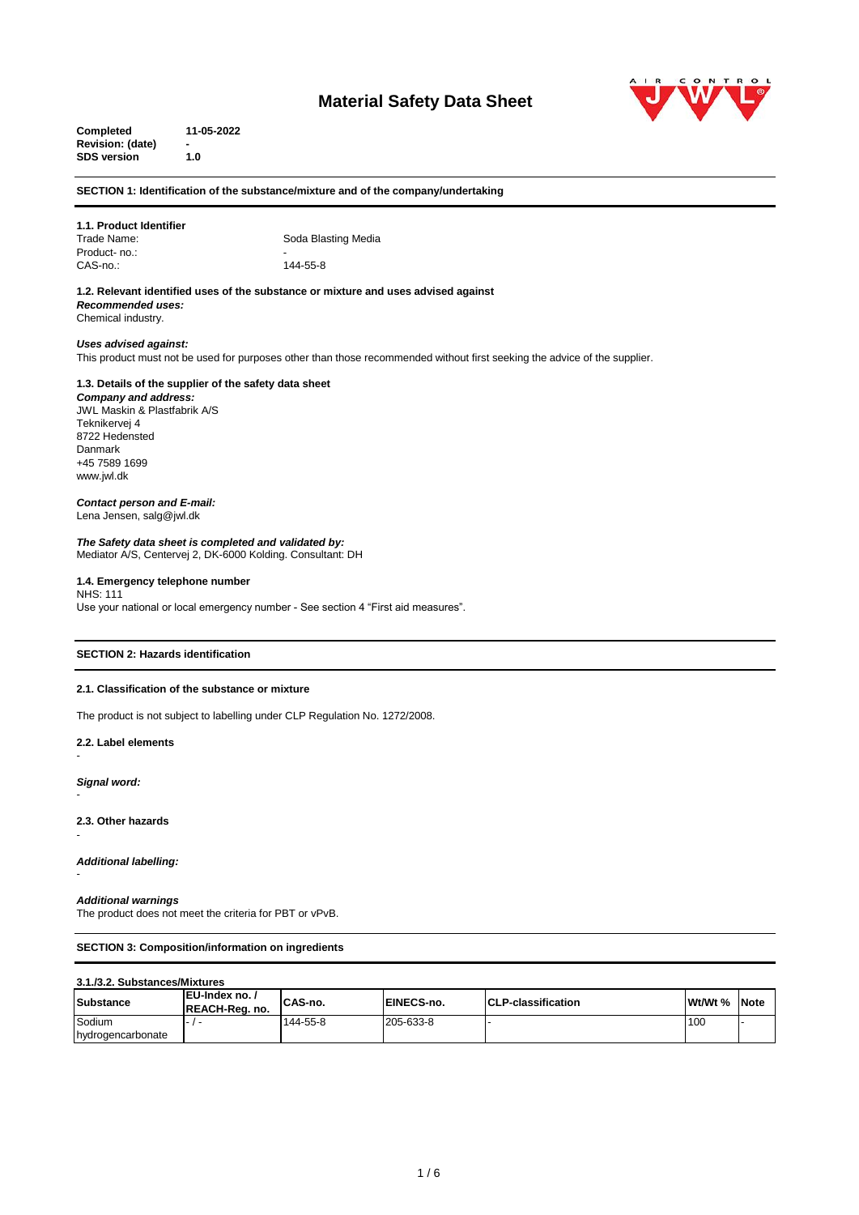# **Material Safety Data Sheet**



**Completed 11-05-2022 Revision: (date) - SDS version 1.0**

**SECTION 1: Identification of the substance/mixture and of the company/undertaking**

#### **1.1. Product Identifier** Soda Blasting Media Product- no.:

CAS-no.: 144-55-8

**1.2. Relevant identified uses of the substance or mixture and uses advised against** *Recommended uses:*  Chemical industry.

## *Uses advised against:*

This product must not be used for purposes other than those recommended without first seeking the advice of the supplier.

#### **1.3. Details of the supplier of the safety data sheet** *Company and address:* JWL Maskin & Plastfabrik A/S Teknikervej 4 8722 Hedensted

Danmark +45 7589 1699 www.jwl.dk

#### *Contact person and E-mail:* Lena Jensen, salg@jwl.dk

*The Safety data sheet is completed and validated by:* Mediator A/S, Centervej 2, DK-6000 Kolding. Consultant: DH

## **1.4. Emergency telephone number**

NHS: 111 Use your national or local emergency number - See section 4 "First aid measures".

## **SECTION 2: Hazards identification**

## **2.1. Classification of the substance or mixture**

The product is not subject to labelling under CLP Regulation No. 1272/2008.

**2.2. Label elements** 

*Signal word:*

-

-

-

-

**2.3. Other hazards**

*Additional labelling:*

#### *Additional warnings*

The product does not meet the criteria for PBT or vPvB.

#### **SECTION 3: Composition/information on ingredients**

#### **3.1./3.2. Substances/Mixtures**

| Substance         | EU-Index no./<br><b>REACH-Rea. no.</b> | CAS-no.  | EINECS-no. | <b>ICLP-classification</b> | Wt/Wt % | <b>Note</b> |
|-------------------|----------------------------------------|----------|------------|----------------------------|---------|-------------|
| Sodium            |                                        | 144-55-8 | 205-633-8  |                            | 100     |             |
| hydrogencarbonate |                                        |          |            |                            |         |             |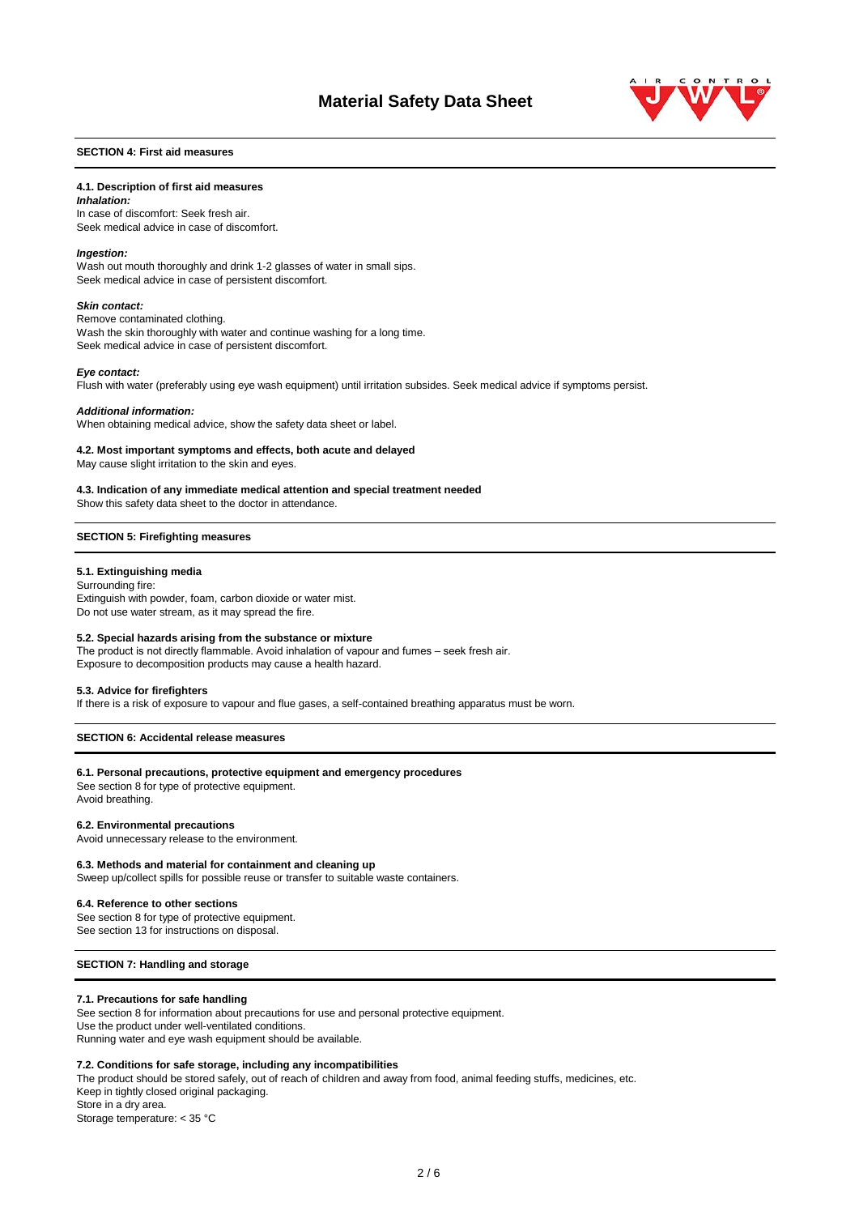

## **SECTION 4: First aid measures**

#### **4.1. Description of first aid measures**

*Inhalation:*  In case of discomfort: Seek fresh air. Seek medical advice in case of discomfort.

#### *Ingestion:*

Wash out mouth thoroughly and drink 1-2 glasses of water in small sips. Seek medical advice in case of persistent discomfort.

#### *Skin contact:*

Remove contaminated clothing. Wash the skin thoroughly with water and continue washing for a long time. Seek medical advice in case of persistent discomfort.

#### *Eye contact:*

Flush with water (preferably using eye wash equipment) until irritation subsides. Seek medical advice if symptoms persist.

#### *Additional information:*

When obtaining medical advice, show the safety data sheet or label.

#### **4.2. Most important symptoms and effects, both acute and delayed**

May cause slight irritation to the skin and eyes.

## **4.3. Indication of any immediate medical attention and special treatment needed**

Show this safety data sheet to the doctor in attendance.

#### **SECTION 5: Firefighting measures**

#### **5.1. Extinguishing media**

Surrounding fire: Extinguish with powder, foam, carbon dioxide or water mist. Do not use water stream, as it may spread the fire.

#### **5.2. Special hazards arising from the substance or mixture**

The product is not directly flammable. Avoid inhalation of vapour and fumes – seek fresh air. Exposure to decomposition products may cause a health hazard.

#### **5.3. Advice for firefighters**

If there is a risk of exposure to vapour and flue gases, a self-contained breathing apparatus must be worn.

## **SECTION 6: Accidental release measures**

#### **6.1. Personal precautions, protective equipment and emergency procedures**

See section 8 for type of protective equipment. Avoid breathing.

#### **6.2. Environmental precautions**

Avoid unnecessary release to the environment.

#### **6.3. Methods and material for containment and cleaning up**

Sweep up/collect spills for possible reuse or transfer to suitable waste containers.

#### **6.4. Reference to other sections**

See section 8 for type of protective equipment. See section 13 for instructions on disposal.

#### **SECTION 7: Handling and storage**

#### **7.1. Precautions for safe handling**

See section 8 for information about precautions for use and personal protective equipment. Use the product under well-ventilated conditions. Running water and eye wash equipment should be available.

#### **7.2. Conditions for safe storage, including any incompatibilities**

The product should be stored safely, out of reach of children and away from food, animal feeding stuffs, medicines, etc. Keep in tightly closed original packaging. Store in a dry area. Storage temperature: < 35 °C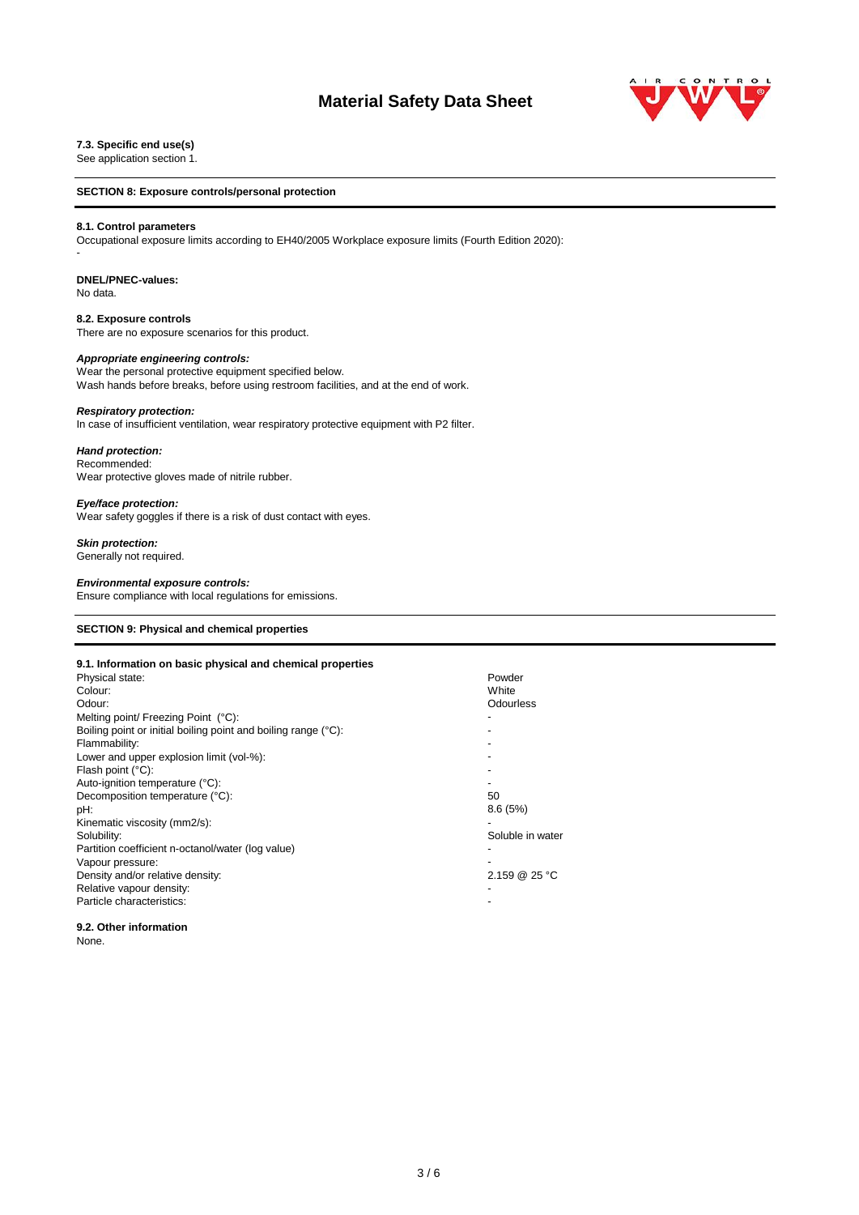# **Material Safety Data Sheet**



## **7.3. Specific end use(s)**

See application section 1.

#### **SECTION 8: Exposure controls/personal protection**

#### **8.1. Control parameters**

Occupational exposure limits according to EH40/2005 Workplace exposure limits (Fourth Edition 2020):

#### **DNEL/PNEC-values:**

No data.

-

**8.2. Exposure controls** There are no exposure scenarios for this product.

#### *Appropriate engineering controls:*

Wear the personal protective equipment specified below. Wash hands before breaks, before using restroom facilities, and at the end of work.

## *Respiratory protection:*

In case of insufficient ventilation, wear respiratory protective equipment with P2 filter.

#### *Hand protection:*

Recommended: Wear protective gloves made of nitrile rubber.

## *Eye/face protection:*

Wear safety goggles if there is a risk of dust contact with eyes.

#### *Skin protection:*

Generally not required.

#### *Environmental exposure controls:*

Ensure compliance with local regulations for emissions.

## **SECTION 9: Physical and chemical properties**

| 9.1. Information on basic physical and chemical properties     |                  |
|----------------------------------------------------------------|------------------|
| Physical state:                                                | Powder           |
| Colour:                                                        | White            |
| Odour:                                                         | Odourless        |
| Melting point/ Freezing Point (°C):                            |                  |
| Boiling point or initial boiling point and boiling range (°C): |                  |
| Flammability:                                                  |                  |
| Lower and upper explosion limit (vol-%):                       |                  |
| Flash point $(^{\circ}C)$ :                                    |                  |
| Auto-ignition temperature (°C):                                |                  |
| Decomposition temperature (°C):                                | 50               |
| pH:                                                            | 8.6(5%)          |
| Kinematic viscosity (mm2/s):                                   |                  |
| Solubility:                                                    | Soluble in water |
| Partition coefficient n-octanol/water (log value)              |                  |
| Vapour pressure:                                               |                  |
| Density and/or relative density:                               | 2.159 @ 25 °C    |
| Relative vapour density:                                       |                  |
| Particle characteristics:                                      |                  |
|                                                                |                  |

**9.2. Other information** None.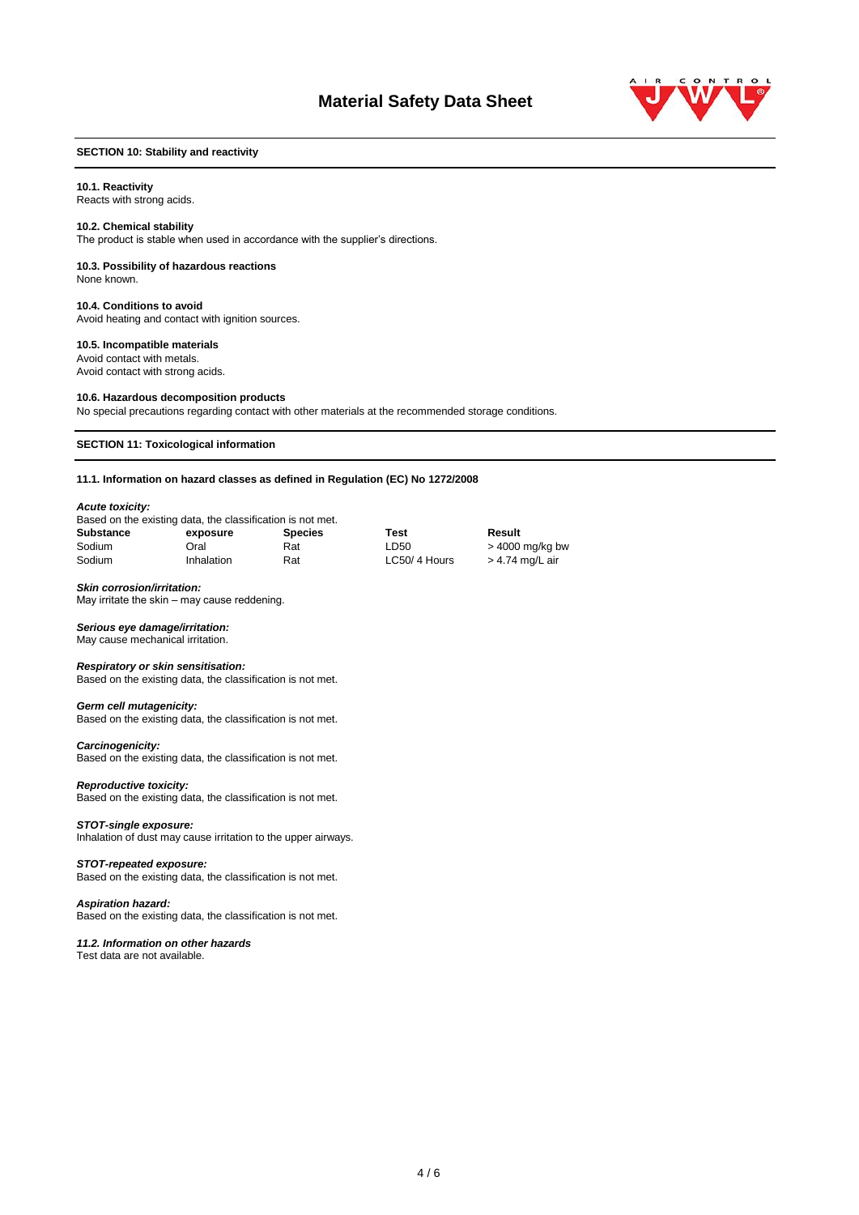

## **SECTION 10: Stability and reactivity**

#### **10.1. Reactivity**

Reacts with strong acids.

#### **10.2. Chemical stability**

The product is stable when used in accordance with the supplier's directions.

## **10.3. Possibility of hazardous reactions**

None known.

**10.4. Conditions to avoid** Avoid heating and contact with ignition sources.

## **10.5. Incompatible materials**

Avoid contact with metals. Avoid contact with strong acids.

#### **10.6. Hazardous decomposition products**

No special precautions regarding contact with other materials at the recommended storage conditions.

#### **SECTION 11: Toxicological information**

**11.1. Information on hazard classes as defined in Regulation (EC) No 1272/2008**

#### *Acute toxicity:*

| Based on the existing data, the classification is not met. |            |                |              |                   |
|------------------------------------------------------------|------------|----------------|--------------|-------------------|
| <b>Substance</b>                                           | exposure   | <b>Species</b> | Test         | Result            |
| Sodium                                                     | Oral       | Rat            | LD50         | $>$ 4000 mg/kg bw |
| Sodium                                                     | Inhalation | Rat            | LC50/4 Hours | > 4.74 mg/L air   |

#### *Skin corrosion/irritation:*

May irritate the skin – may cause reddening.

#### *Serious eye damage/irritation:*

May cause mechanical irritation.

#### *Respiratory or skin sensitisation:*

Based on the existing data, the classification is not met.

# Based on the existing data, the classification is not met.

*Germ cell mutagenicity:*

*Carcinogenicity:* Based on the existing data, the classification is not met.

#### *Reproductive toxicity:*

Based on the existing data, the classification is not met.

#### *STOT-single exposure:*

Inhalation of dust may cause irritation to the upper airways.

#### *STOT-repeated exposure:*

Based on the existing data, the classification is not met.

## *Aspiration hazard:*

Based on the existing data, the classification is not met.

#### *11.2. Information on other hazards*

Test data are not available.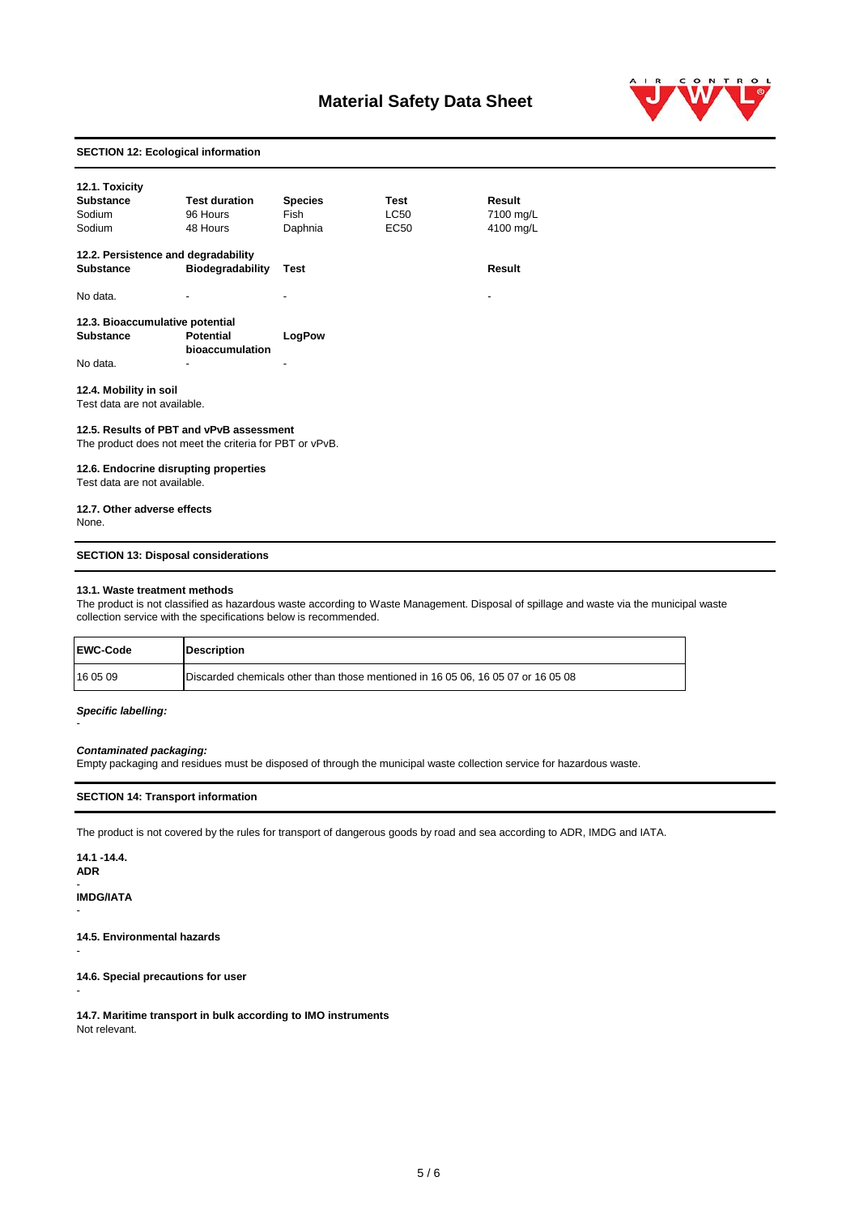# **Material Safety Data Sheet**



## **SECTION 12: Ecological information**

| 12.1. Toxicity<br><b>Substance</b><br>Sodium<br>Sodium                                              | <b>Test duration</b><br>96 Hours<br>48 Hours | <b>Species</b><br>Fish<br>Daphnia | Test<br>LC50<br>EC <sub>50</sub> | Result<br>7100 mg/L<br>4100 mg/L |
|-----------------------------------------------------------------------------------------------------|----------------------------------------------|-----------------------------------|----------------------------------|----------------------------------|
| 12.2. Persistence and degradability<br><b>Substance</b>                                             | <b>Biodegradability</b>                      | Test                              |                                  | Result                           |
| No data.                                                                                            |                                              |                                   |                                  |                                  |
| 12.3. Bioaccumulative potential<br><b>Substance</b>                                                 | <b>Potential</b><br>bioaccumulation          | LogPow                            |                                  |                                  |
| No data.                                                                                            |                                              |                                   |                                  |                                  |
| 12.4. Mobility in soil<br>Test data are not available.                                              |                                              |                                   |                                  |                                  |
| 12.5. Results of PBT and vPvB assessment<br>The product does not meet the criteria for PBT or vPvB. |                                              |                                   |                                  |                                  |
| 12.6. Endocrine disrupting properties<br>Test data are not available.                               |                                              |                                   |                                  |                                  |
| 12.7. Other adverse effects<br>None.                                                                |                                              |                                   |                                  |                                  |

## **SECTION 13: Disposal considerations**

#### **13.1. Waste treatment methods**

The product is not classified as hazardous waste according to Waste Management. Disposal of spillage and waste via the municipal waste collection service with the specifications below is recommended.

| <b>EWC-Code</b> | <b>Description</b>                                                               |  |
|-----------------|----------------------------------------------------------------------------------|--|
| 16 05 09        | Discarded chemicals other than those mentioned in 16 05 06, 16 05 07 or 16 05 08 |  |

#### *Specific labelling:*

-

## *Contaminated packaging:*

Empty packaging and residues must be disposed of through the municipal waste collection service for hazardous waste.

## **SECTION 14: Transport information**

The product is not covered by the rules for transport of dangerous goods by road and sea according to ADR, IMDG and IATA.

**14.1 -14.4. ADR** -

**IMDG/IATA**

-

-

-

**14.5. Environmental hazards**

**14.6. Special precautions for user**

**14.7. Maritime transport in bulk according to IMO instruments** Not relevant.